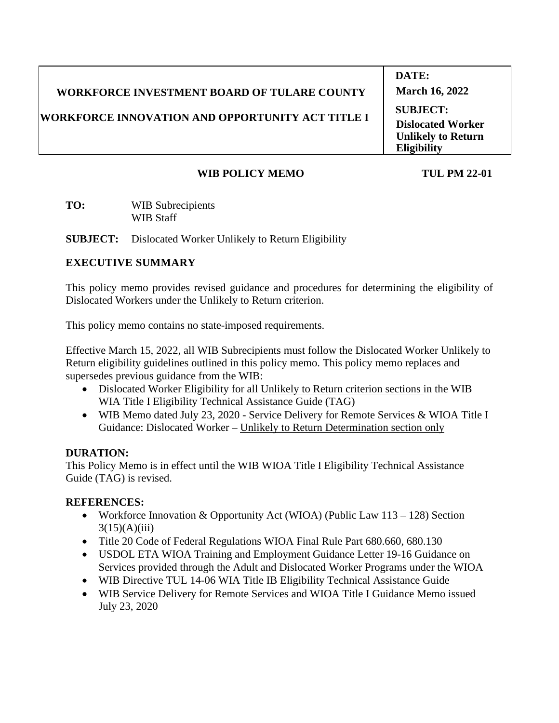|                                                          | DATE:                                           |
|----------------------------------------------------------|-------------------------------------------------|
| <b>WORKFORCE INVESTMENT BOARD OF TULARE COUNTY</b>       | <b>March 16, 2022</b>                           |
| <b> WORKFORCE INNOVATION AND OPPORTUNITY ACT TITLE I</b> | <b>SUBJECT:</b><br><b>Dislocated Worker</b>     |
|                                                          | <b>Unlikely to Return</b><br><b>Eligibility</b> |
|                                                          |                                                 |

### **WIB POLICY MEMO TUL PM 22-01**

**TO:** WIB Subrecipients WIB Staff

**SUBJECT:** Dislocated Worker Unlikely to Return Eligibility

# **EXECUTIVE SUMMARY**

This policy memo provides revised guidance and procedures for determining the eligibility of Dislocated Workers under the Unlikely to Return criterion.

This policy memo contains no state-imposed requirements.

Effective March 15, 2022, all WIB Subrecipients must follow the Dislocated Worker Unlikely to Return eligibility guidelines outlined in this policy memo. This policy memo replaces and supersedes previous guidance from the WIB:

- Dislocated Worker Eligibility for all Unlikely to Return criterion sections in the WIB WIA Title I Eligibility Technical Assistance Guide (TAG)
- WIB Memo dated July 23, 2020 Service Delivery for Remote Services & WIOA Title I Guidance: Dislocated Worker – Unlikely to Return Determination section only

# **DURATION:**

This Policy Memo is in effect until the WIB WIOA Title I Eligibility Technical Assistance Guide (TAG) is revised.

# **REFERENCES:**

- Workforce Innovation & Opportunity Act (WIOA) (Public Law  $113 128$ ) Section  $3(15)(A)(iii)$
- Title 20 Code of Federal Regulations WIOA Final Rule Part 680.660, 680.130
- USDOL ETA WIOA Training and Employment Guidance Letter 19-16 Guidance on Services provided through the Adult and Dislocated Worker Programs under the WIOA
- WIB Directive TUL 14-06 WIA Title IB Eligibility Technical Assistance Guide
- WIB Service Delivery for Remote Services and WIOA Title I Guidance Memo issued July 23, 2020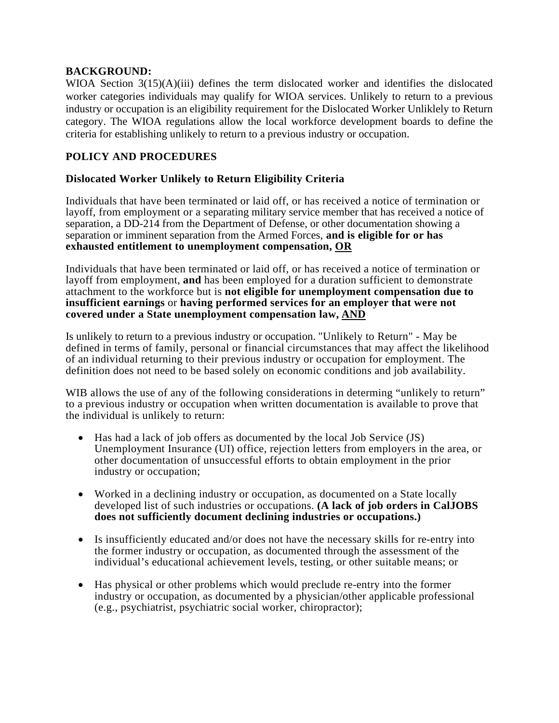### **BACKGROUND:**

WIOA Section  $3(15)(A)(iii)$  defines the term dislocated worker and identifies the dislocated worker categories individuals may qualify for WIOA services. Unlikely to return to a previous industry or occupation is an eligibility requirement for the Dislocated Worker Unliklely to Return category. The WIOA regulations allow the local workforce development boards to define the criteria for establishing unlikely to return to a previous industry or occupation.

### **POLICY AND PROCEDURES**

### **Dislocated Worker Unlikely to Return Eligibility Criteria**

Individuals that have been terminated or laid off, or has received a notice of termination or layoff, from employment or a separating military service member that has received a notice of separation, a DD-214 from the Department of Defense, or other documentation showing a separation or imminent separation from the Armed Forces, **and is eligible for or has exhausted entitlement to unemployment compensation, OR**

Individuals that have been terminated or laid off, or has received a notice of termination or layoff from employment, **and** has been employed for a duration sufficient to demonstrate attachment to the workforce but is **not eligible for unemployment compensation due to insufficient earnings** or **having performed services for an employer that were not covered under a State unemployment compensation law, AND**

Is unlikely to return to a previous industry or occupation. "Unlikely to Return" - May be defined in terms of family, personal or financial circumstances that may affect the likelihood of an individual returning to their previous industry or occupation for employment. The definition does not need to be based solely on economic conditions and job availability.

WIB allows the use of any of the following considerations in determing "unlikely to return" to a previous industry or occupation when written documentation is available to prove that the individual is unlikely to return:

- Has had a lack of job offers as documented by the local Job Service (JS) Unemployment Insurance (UI) office, rejection letters from employers in the area, or other documentation of unsuccessful efforts to obtain employment in the prior industry or occupation;
- Worked in a declining industry or occupation, as documented on a State locally developed list of such industries or occupations. **(A lack of job orders in CalJOBS does not sufficiently document declining industries or occupations.)**
- Is insufficiently educated and/or does not have the necessary skills for re-entry into the former industry or occupation, as documented through the assessment of the individual's educational achievement levels, testing, or other suitable means; or
- Has physical or other problems which would preclude re-entry into the former industry or occupation, as documented by a physician/other applicable professional (e.g., psychiatrist, psychiatric social worker, chiropractor);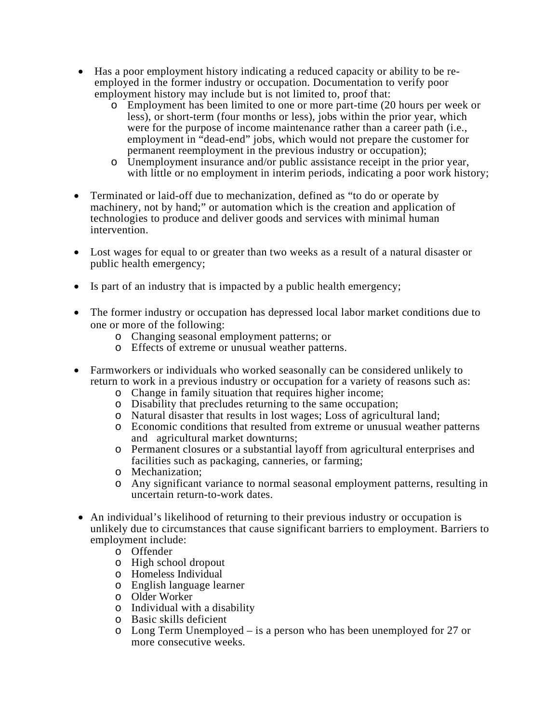- Has a poor employment history indicating a reduced capacity or ability to be reemployed in the former industry or occupation. Documentation to verify poor employment history may include but is not limited to, proof that:
	- o Employment has been limited to one or more part-time (20 hours per week or less), or short-term (four months or less), jobs within the prior year, which were for the purpose of income maintenance rather than a career path (i.e., employment in "dead-end" jobs, which would not prepare the customer for permanent reemployment in the previous industry or occupation);
	- o Unemployment insurance and/or public assistance receipt in the prior year, with little or no employment in interim periods, indicating a poor work history;
- Terminated or laid-off due to mechanization, defined as "to do or operate by machinery, not by hand;" or automation which is the creation and application of technologies to produce and deliver goods and services with minimal human intervention.
- Lost wages for equal to or greater than two weeks as a result of a natural disaster or public health emergency;
- Is part of an industry that is impacted by a public health emergency;
- The former industry or occupation has depressed local labor market conditions due to one or more of the following:
	- o Changing seasonal employment patterns; or
	- o Effects of extreme or unusual weather patterns.
- Farmworkers or individuals who worked seasonally can be considered unlikely to return to work in a previous industry or occupation for a variety of reasons such as:
	- o Change in family situation that requires higher income;
	- o Disability that precludes returning to the same occupation;
	- o Natural disaster that results in lost wages; Loss of agricultural land;
	- o Economic conditions that resulted from extreme or unusual weather patterns and agricultural market downturns;
	- o Permanent closures or a substantial layoff from agricultural enterprises and facilities such as packaging, canneries, or farming;
	- o Mechanization;
	- o Any significant variance to normal seasonal employment patterns, resulting in uncertain return-to-work dates.
- An individual's likelihood of returning to their previous industry or occupation is unlikely due to circumstances that cause significant barriers to employment. Barriers to employment include:
	- o Offender
	- o High school dropout
	- o Homeless Individual
	- o English language learner
	- o Older Worker
	- o Individual with a disability
	- o Basic skills deficient
	- o Long Term Unemployed is a person who has been unemployed for 27 or more consecutive weeks.